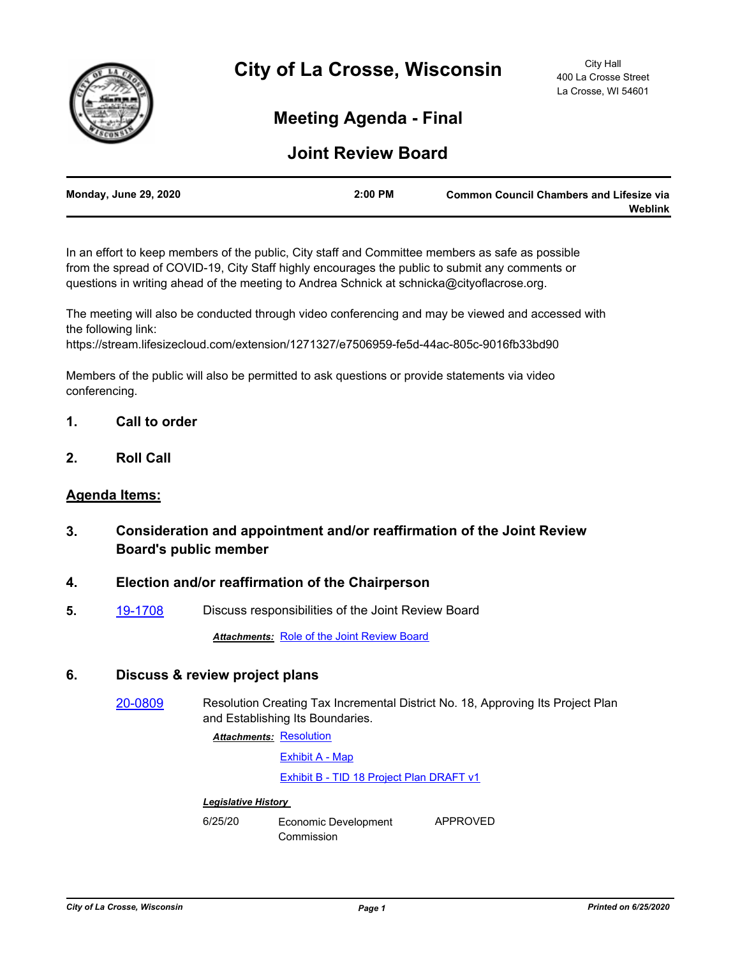

# **Meeting Agenda - Final**

## **Joint Review Board**

| <b>Monday, June 29, 2020</b> | $2:00$ PM | <b>Common Council Chambers and Lifesize via</b> |
|------------------------------|-----------|-------------------------------------------------|
|                              |           | Weblink                                         |

In an effort to keep members of the public, City staff and Committee members as safe as possible from the spread of COVID-19, City Staff highly encourages the public to submit any comments or questions in writing ahead of the meeting to Andrea Schnick at schnicka@cityoflacrose.org.

The meeting will also be conducted through video conferencing and may be viewed and accessed with the following link:

https://stream.lifesizecloud.com/extension/1271327/e7506959-fe5d-44ac-805c-9016fb33bd90

Members of the public will also be permitted to ask questions or provide statements via video conferencing.

- **1. Call to order**
- **2. Roll Call**

#### **Agenda Items:**

- **3. Consideration and appointment and/or reaffirmation of the Joint Review Board's public member**
- **4. Election and/or reaffirmation of the Chairperson**
- **5.** [19-1708](http://cityoflacrosse.legistar.com/gateway.aspx?m=l&id=/matter.aspx?key=11030) Discuss responsibilities of the Joint Review Board

**Attachments: [Role of the Joint Review Board](http://cityoflacrosse.legistar.com/gateway.aspx?M=F&ID=8bc1c24f-3112-46d2-a30c-7813199c8f4d.pdf)** 

### **6. Discuss & review project plans**

[20-0809](http://cityoflacrosse.legistar.com/gateway.aspx?m=l&id=/matter.aspx?key=11927) Resolution Creating Tax Incremental District No. 18, Approving Its Project Plan and Establishing Its Boundaries.

Attachments: [Resolution](http://cityoflacrosse.legistar.com/gateway.aspx?M=F&ID=8e548b6a-8a19-44a2-83bb-8cfa51478663.docx)

[Exhibit A - Map](http://cityoflacrosse.legistar.com/gateway.aspx?M=F&ID=fb8ab2c6-97f9-4926-8ec7-6c8623cfa6ef.pdf)

[Exhibit B - TID 18 Project Plan DRAFT v1](http://cityoflacrosse.legistar.com/gateway.aspx?M=F&ID=1765cd28-acca-4745-95c4-64e68c2f933f.pdf)

#### *Legislative History*

6/25/20 Economic Development Commission APPROVED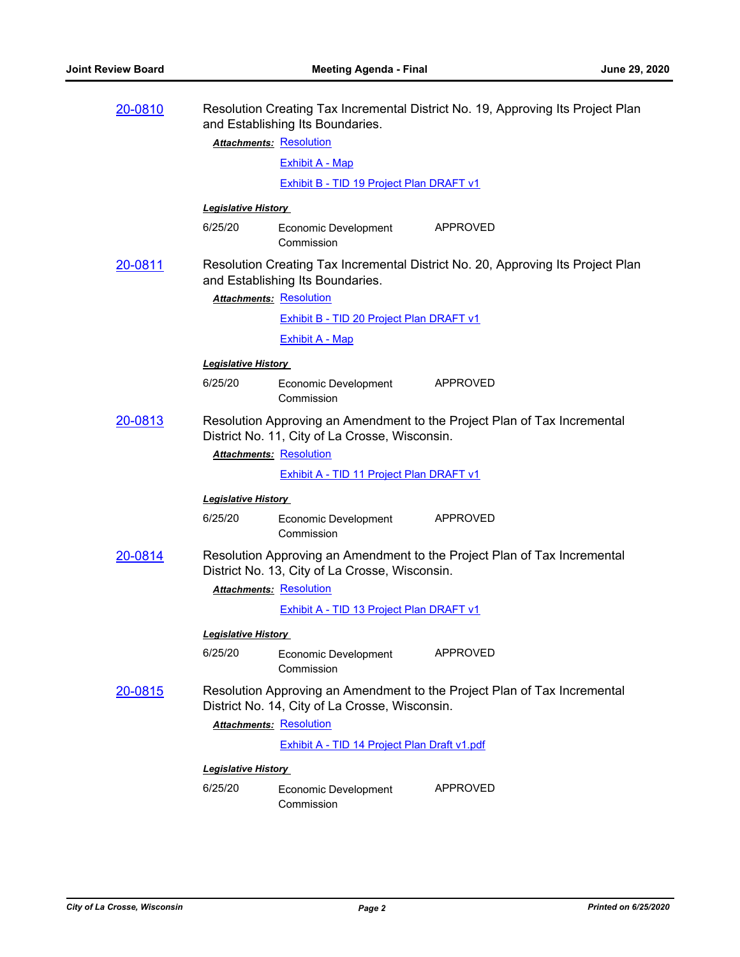| 20-0810                                   | Resolution Creating Tax Incremental District No. 19, Approving Its Project Plan<br>and Establishing Its Boundaries.                                          |                                                 |                                                                                 |  |
|-------------------------------------------|--------------------------------------------------------------------------------------------------------------------------------------------------------------|-------------------------------------------------|---------------------------------------------------------------------------------|--|
|                                           |                                                                                                                                                              | <b>Attachments: Resolution</b>                  |                                                                                 |  |
|                                           |                                                                                                                                                              | <b>Exhibit A - Map</b>                          |                                                                                 |  |
|                                           |                                                                                                                                                              | <b>Exhibit B - TID 19 Project Plan DRAFT v1</b> |                                                                                 |  |
|                                           | <b>Legislative History</b>                                                                                                                                   |                                                 |                                                                                 |  |
|                                           | 6/25/20                                                                                                                                                      | Economic Development<br>Commission              | APPROVED                                                                        |  |
| 20-0811<br><b>Attachments: Resolution</b> |                                                                                                                                                              | and Establishing Its Boundaries.                | Resolution Creating Tax Incremental District No. 20, Approving Its Project Plan |  |
|                                           |                                                                                                                                                              | <b>Exhibit B - TID 20 Project Plan DRAFT v1</b> |                                                                                 |  |
|                                           |                                                                                                                                                              | <b>Exhibit A - Map</b>                          |                                                                                 |  |
|                                           | <b>Legislative History</b>                                                                                                                                   |                                                 |                                                                                 |  |
|                                           | 6/25/20                                                                                                                                                      | Economic Development<br>Commission              | APPROVED                                                                        |  |
| 20-0813                                   | Resolution Approving an Amendment to the Project Plan of Tax Incremental<br>District No. 11, City of La Crosse, Wisconsin.<br><b>Attachments: Resolution</b> |                                                 |                                                                                 |  |
|                                           |                                                                                                                                                              | <b>Exhibit A - TID 11 Project Plan DRAFT v1</b> |                                                                                 |  |
|                                           | <b>Legislative History</b>                                                                                                                                   |                                                 |                                                                                 |  |
|                                           | 6/25/20                                                                                                                                                      | Economic Development<br>Commission              | APPROVED                                                                        |  |
| 20-0814                                   | Resolution Approving an Amendment to the Project Plan of Tax Incremental<br>District No. 13, City of La Crosse, Wisconsin.                                   |                                                 |                                                                                 |  |
|                                           |                                                                                                                                                              | <b>Attachments: Resolution</b>                  |                                                                                 |  |
|                                           |                                                                                                                                                              | Exhibit A - TID 13 Project Plan DRAFT v1        |                                                                                 |  |
|                                           | <u> Legislative History </u>                                                                                                                                 |                                                 |                                                                                 |  |
|                                           | 6/25/20                                                                                                                                                      | Economic Development<br>Commission              | <b>APPROVED</b>                                                                 |  |
| 20-0815                                   | Resolution Approving an Amendment to the Project Plan of Tax Incremental<br>District No. 14, City of La Crosse, Wisconsin.                                   |                                                 |                                                                                 |  |
|                                           |                                                                                                                                                              | <b>Attachments: Resolution</b>                  |                                                                                 |  |
|                                           |                                                                                                                                                              | Exhibit A - TID 14 Project Plan Draft v1.pdf    |                                                                                 |  |
|                                           | <b>Legislative History</b>                                                                                                                                   |                                                 |                                                                                 |  |
|                                           | 6/25/20                                                                                                                                                      | <b>Economic Development</b><br>Commission       | <b>APPROVED</b>                                                                 |  |